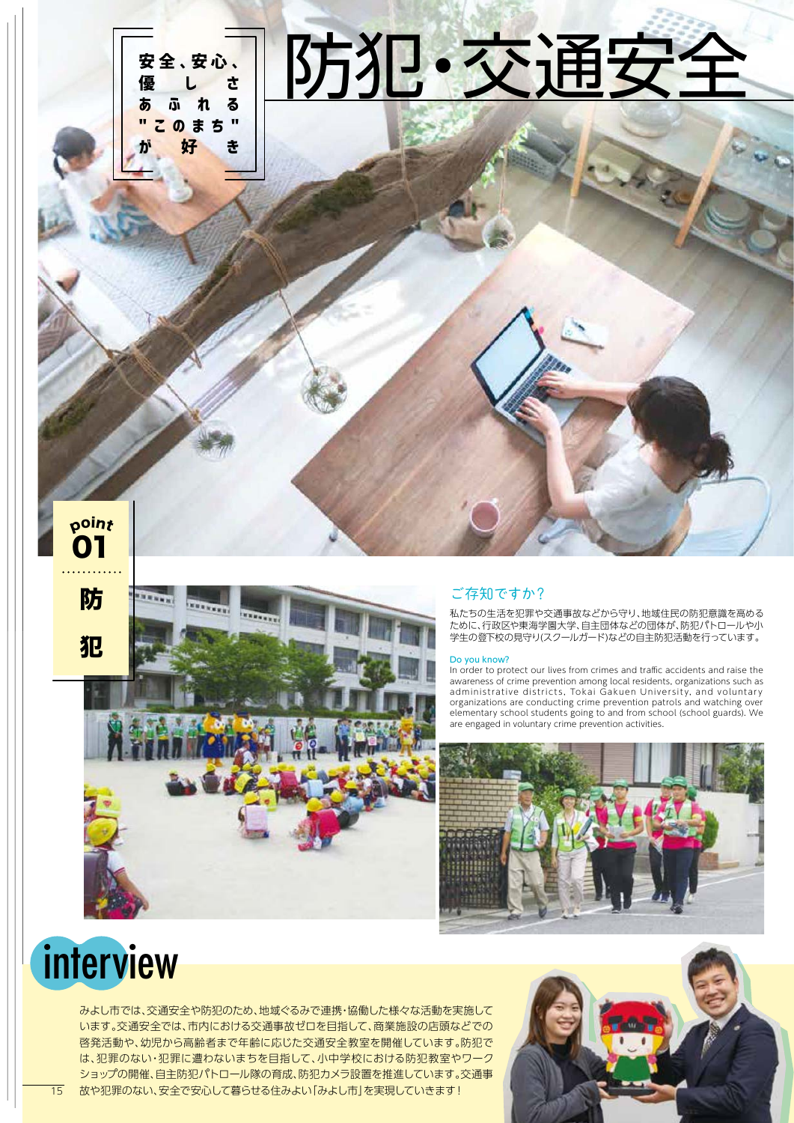

#### Do you know?

In order to protect our lives from crimes and traffic accidents and raise the awareness of crime prevention among local residents, organizations such as administrative districts, Tokai Gakuen University, and voluntary organizations are conducting crime prevention patrols and watching over elementary school students going to and from school (school guards). We are engaged in voluntary crime prevention activities.



# interview

みよし市では、交通安全や防犯のため、地域ぐるみで連携・協働した様々な活動を実施して います。交通安全では、市内における交通事故ゼロを目指して、商業施設の店頭などでの 啓発活動や、幼児から高齢者まで年齢に応じた交通安全教室を開催しています。防犯で は、犯罪のない・犯罪に遭わないまちを目指して、小中学校における防犯教室やワーク ショップの開催、自主防犯パトロール隊の育成、防犯カメラ設置を推進しています。交通事 15 故や犯罪のない、安全で安心して暮らせる住みよい「みよし市」を実現していきます! おもの いっさい いっさい こうこう アイストランド